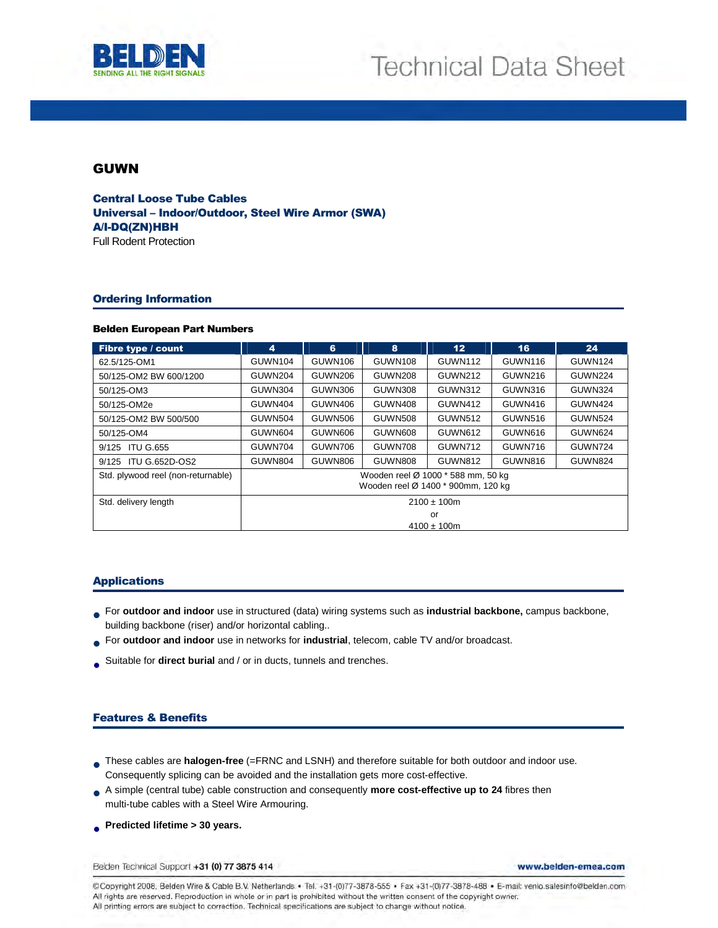



# GUWN

Central Loose Tube Cables Universal – Indoor/Outdoor, Steel Wire Armor (SWA) A/I-DQ(ZN)HBH Full Rodent Protection

### Ordering Information

#### Belden European Part Numbers

| Fibre type / count                 | 4                                                                        | 6              | 8              | 12 <sub>2</sub> | 16             | 24      |
|------------------------------------|--------------------------------------------------------------------------|----------------|----------------|-----------------|----------------|---------|
| 62.5/125-OM1                       | GUWN104                                                                  | <b>GUWN106</b> | <b>GUWN108</b> | GUWN112         | <b>GUWN116</b> | GUWN124 |
| 50/125-OM2 BW 600/1200             | GUWN204                                                                  | GUWN206        | GUWN208        | <b>GUWN212</b>  | GUWN216        | GUWN224 |
| 50/125-OM3                         | GUWN304                                                                  | GUWN306        | GUWN308        | <b>GUWN312</b>  | GUWN316        | GUWN324 |
| 50/125-OM2e                        | GUWN404                                                                  | GUWN406        | GUWN408        | <b>GUWN412</b>  | GUWN416        | GUWN424 |
| 50/125-OM2 BW 500/500              | GUWN504                                                                  | GUWN506        | GUWN508        | GUWN512         | GUWN516        | GUWN524 |
| 50/125-OM4                         | GUWN604                                                                  | GUWN606        | GUWN608        | GUWN612         | GUWN616        | GUWN624 |
| <b>ITU G.655</b><br>9/125          | GUWN704                                                                  | GUWN706        | GUWN708        | GUWN712         | GUWN716        | GUWN724 |
| 9/125 ITU G.652D-OS2               | GUWN804                                                                  | GUWN806        | GUWN808        | GUWN812         | GUWN816        | GUWN824 |
| Std. plywood reel (non-returnable) | Wooden reel Ø 1000 * 588 mm, 50 kg<br>Wooden reel Ø 1400 * 900mm, 120 kg |                |                |                 |                |         |
| Std. delivery length               | $2100 \pm 100$ m                                                         |                |                |                 |                |         |
|                                    | or                                                                       |                |                |                 |                |         |
|                                    | $4100 \pm 100$ m                                                         |                |                |                 |                |         |

#### Applications

- **For outdoor and indoor** use in structured (data) wiring systems such as **industrial backbone**, campus backbone, <br>huilding backbone (riser) and/or borizontal cabling building backbone (riser) and/or horizontal cabling..
- For **outdoor and indoor** use in networks for **industrial**, telecom, cable TV and/or broadcast.
- Suitable for **direct burial** and / or in ducts, tunnels and trenches.

### Features & Benefits

- These cables are **halogen-free** (=FRNC and LSNH) and therefore suitable for both outdoor and indoor use. Consequently splicing can be avoided and the installation gets more cost-effective.
- A simple (central tube) cable construction and consequently **more cost-effective up to 24** fibres then<br>multi-tube cables with a Steel Wire Armouring multi-tube cables with a Steel Wire Armouring.
- **Predicted lifetime > 30 years.**

Belden Technical Support +31 (0) 77 3875 414

www.belden-emea.com

@Copyright 2008, Belden Wire & Cable B.V. Netherlands . Tel. +31-(0)77-3878-555 . Fax +31-(0)77-3878-488 . E-mail: venlo.salesinfo@belden.com All rights are reserved. Reproduction in whole or in part is prohibited without the written consent of the copyright owner. All printing errors are subject to correction. Technical specifications are subject to change without notice.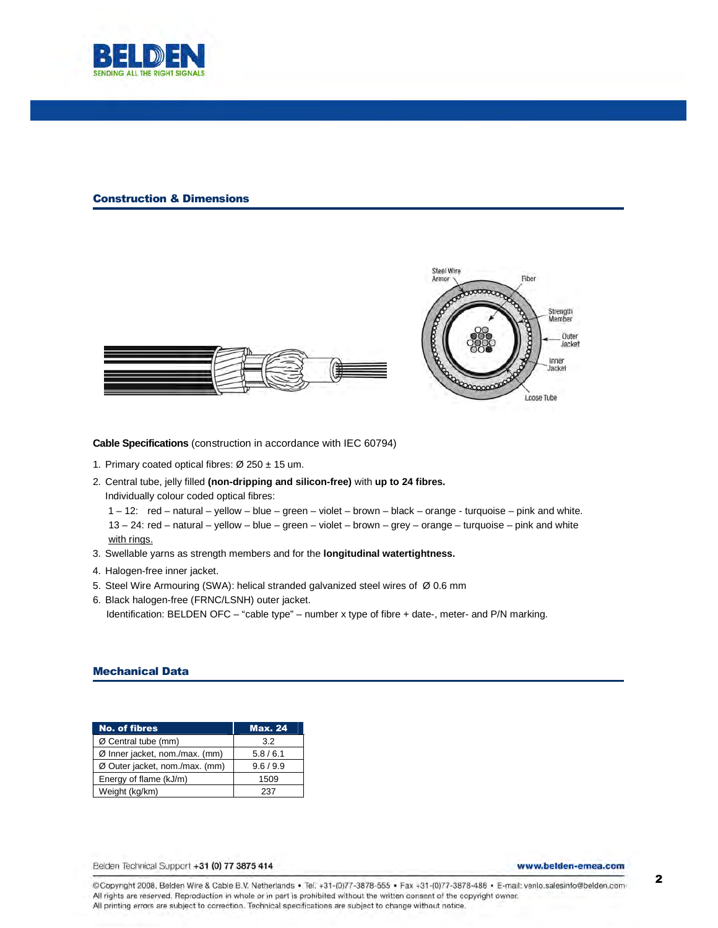

#### Construction & Dimensions





**Cable Specifications** (construction in accordance with IEC 60794)

- 1. Primary coated optical fibres:  $\varnothing$  250 ± 15 um.
- 2. Central tube, jelly filled **(non-dripping and silicon-free)** with **up to 24 fibres.**  Individually colour coded optical fibres: 1 – 12: red – natural – yellow – blue – green – violet – brown – black – orange - turquoise – pink and white.

13 – 24: red – natural – yellow – blue – green – violet – brown – grey – orange – turquoise – pink and white with rings.

- 3. Swellable yarns as strength members and for the **longitudinal watertightness.**
- 4. Halogen-free inner jacket.
- 5. Steel Wire Armouring (SWA): helical stranded galvanized steel wires of Ø 0.6 mm
- 6. Black halogen-free (FRNC/LSNH) outer jacket. Identification: BELDEN OFC – "cable type" – number x type of fibre + date-, meter- and P/N marking.

#### Mechanical Data

| <b>No. of fibres</b>           | <b>Max. 24</b> |
|--------------------------------|----------------|
| Ø Central tube (mm)            | 3.2            |
| Ø Inner jacket, nom./max. (mm) | 5.8/6.1        |
| Ø Outer jacket, nom./max. (mm) | 9.6 / 9.9      |
| Energy of flame (kJ/m)         | 1509           |
| Weight (kg/km)                 | 237            |

Belden Technical Support +31 (0) 77 3875 414

www.belden-emea.com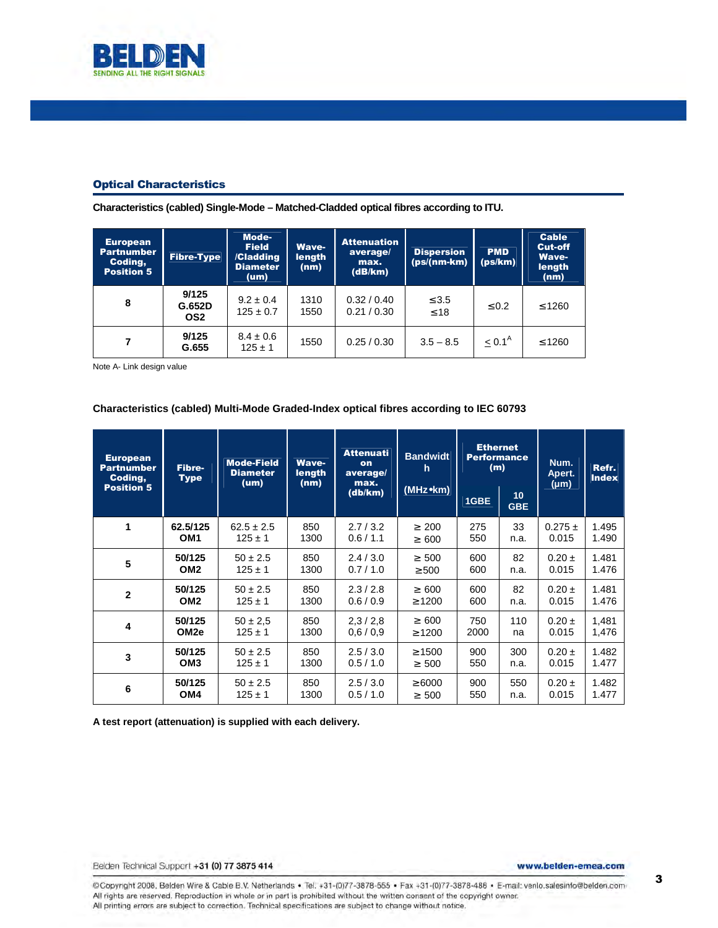

### Optical Characteristics

**Characteristics (cabled) Single-Mode – Matched-Cladded optical fibres according to ITU.** 

| <b>European</b><br>Partnumber<br>Coding,<br><b>Position 5</b> | <b>Fibre-Type</b>      | Mode-<br><b>Field</b><br>/Cladding<br><b>Diameter</b><br>$(\mathsf{um})$ | Wave-<br>length<br>(nm) | <b>Attenuation</b><br>average/<br>max.<br>(dB/km) | <b>Dispersion</b><br>$(ps/(nm-km))$ | <b>PMD</b><br>(ps/km) | <b>Cable</b><br><b>Cut-off</b><br><b>Wave-</b><br>length<br>(nm) |
|---------------------------------------------------------------|------------------------|--------------------------------------------------------------------------|-------------------------|---------------------------------------------------|-------------------------------------|-----------------------|------------------------------------------------------------------|
| 8                                                             | 9/125<br>G.652D<br>OS2 | $9.2 \pm 0.4$<br>$125 \pm 0.7$                                           | 1310<br>1550            | 0.32 / 0.40<br>0.21 / 0.30                        | $\leq 3.5$<br>$\leq 18$             | $\leq 0.2$            | $\leq 1260$                                                      |
|                                                               | 9/125<br>G.655         | $8.4 \pm 0.6$<br>$125 \pm 1$                                             | 1550                    | 0.25/0.30                                         | $3.5 - 8.5$                         | $< 0.1^{\text{A}}$    | $\leq 1260$                                                      |

Note A- Link design value

### **Characteristics (cabled) Multi-Mode Graded-Index optical fibres according to IEC 60793**

| <b>European</b><br><b>Partnumber</b><br>Coding,<br><b>Position 5</b> | Fibre-<br><b>Type</b> | <b>Mode-Field</b><br><b>Diameter</b> | <b>Wave-</b><br>length<br>(um)<br>(nm) | <b>Attenuati</b><br>on<br>average/<br>max.<br>(db/km) | <b>Bandwidt</b><br>h.<br>(MHz•km) | <b>Ethernet</b><br><b>Performance</b><br>(m) |                  | Num.<br>Apert.<br>$(\mu m)$ | Refr.<br><b>Index</b> |
|----------------------------------------------------------------------|-----------------------|--------------------------------------|----------------------------------------|-------------------------------------------------------|-----------------------------------|----------------------------------------------|------------------|-----------------------------|-----------------------|
|                                                                      |                       |                                      |                                        |                                                       |                                   | 1GBE                                         | 10<br><b>GBE</b> |                             |                       |
| 1                                                                    | 62.5/125              | $62.5 \pm 2.5$                       | 850                                    | 2.7/3.2                                               | $\geq 200$                        | 275                                          | 33               | $0.275 \pm$                 | 1.495                 |
|                                                                      | OM <sub>1</sub>       | $125 \pm 1$                          | 1300                                   | 0.6 / 1.1                                             | $\geq 600$                        | 550                                          | n.a.             | 0.015                       | 1.490                 |
| 5                                                                    | 50/125                | $50 \pm 2.5$                         | 850                                    | 2.4/3.0                                               | $\geq 500$                        | 600                                          | 82               | $0.20 \pm$                  | 1.481                 |
|                                                                      | OM <sub>2</sub>       | $125 \pm 1$                          | 1300                                   | 0.7/1.0                                               | $\geq 500$                        | 600                                          | n.a.             | 0.015                       | 1.476                 |
| $\mathbf{2}$                                                         | 50/125                | $50 \pm 2.5$                         | 850                                    | 2.3/2.8                                               | $\geq 600$                        | 600                                          | 82               | $0.20 \pm$                  | 1.481                 |
|                                                                      | OM <sub>2</sub>       | $125 \pm 1$                          | 1300                                   | 0.6/0.9                                               | $\geq 1200$                       | 600                                          | n.a.             | 0.015                       | 1.476                 |
| 4                                                                    | 50/125                | $50 \pm 2.5$                         | 850                                    | 2,3/2,8                                               | $\geq 600$                        | 750                                          | 110              | $0.20 \pm$                  | 1,481                 |
|                                                                      | OM <sub>2e</sub>      | $125 \pm 1$                          | 1300                                   | 0.6/0.9                                               | $\geq 1200$                       | 2000                                         | na               | 0.015                       | 1,476                 |
| 3                                                                    | 50/125                | $50 \pm 2.5$                         | 850                                    | 2.5/3.0                                               | $\geq 1500$                       | 900                                          | 300              | $0.20 \pm$                  | 1.482                 |
|                                                                      | OM <sub>3</sub>       | $125 \pm 1$                          | 1300                                   | 0.5/1.0                                               | $\geq 500$                        | 550                                          | n.a.             | 0.015                       | 1.477                 |
| 6                                                                    | 50/125                | $50 \pm 2.5$                         | 850                                    | 2.5/3.0                                               | $\geq 6000$                       | 900                                          | 550              | $0.20 \pm$                  | 1.482                 |
|                                                                      | OM <sub>4</sub>       | $125 \pm 1$                          | 1300                                   | 0.5/1.0                                               | $\geq 500$                        | 550                                          | n.a.             | 0.015                       | 1.477                 |

**A test report (attenuation) is supplied with each delivery.** 

Belden Technical Support +31 (0) 77 3875 414

www.belden-emea.com

3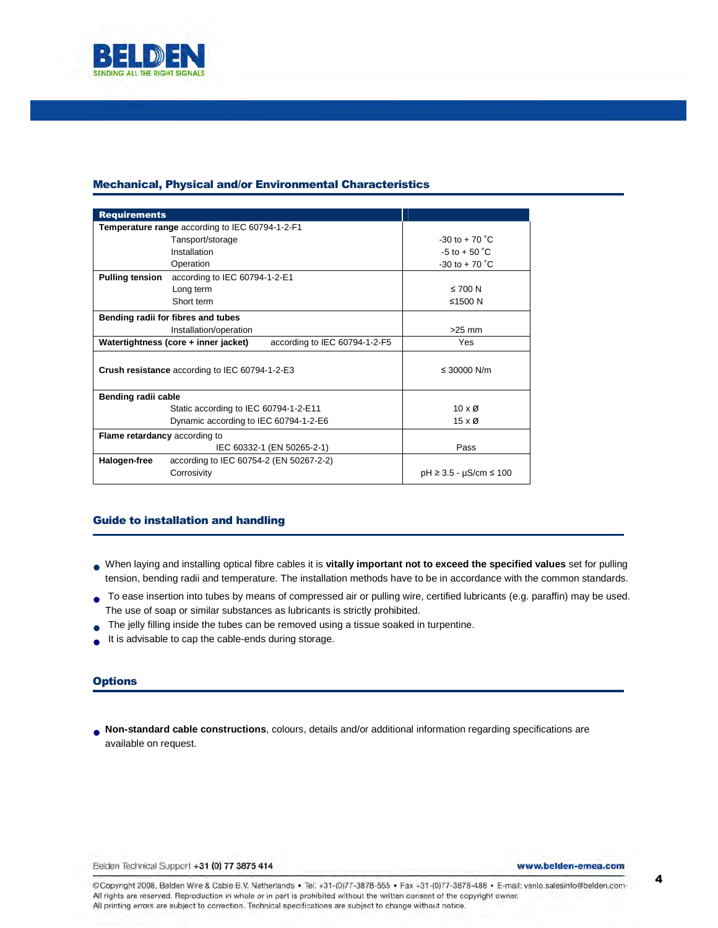

# Mechanical, Physical and/or Environmental Characteristics

| <b>Requirements</b>                             |                                                                       |                                   |  |  |  |  |  |  |  |
|-------------------------------------------------|-----------------------------------------------------------------------|-----------------------------------|--|--|--|--|--|--|--|
| Temperature range according to IEC 60794-1-2-F1 |                                                                       |                                   |  |  |  |  |  |  |  |
|                                                 | $-30$ to $+70$ °C                                                     |                                   |  |  |  |  |  |  |  |
|                                                 | Installation                                                          | $-5$ to $+50$ °C.                 |  |  |  |  |  |  |  |
|                                                 | Operation                                                             | $-30$ to $+70$ °C                 |  |  |  |  |  |  |  |
| <b>Pulling tension</b>                          | according to IEC 60794-1-2-E1                                         |                                   |  |  |  |  |  |  |  |
|                                                 | Long term                                                             | $\leq 700$ N                      |  |  |  |  |  |  |  |
|                                                 | Short term                                                            | ≤1500 $N$                         |  |  |  |  |  |  |  |
|                                                 | Bending radii for fibres and tubes                                    |                                   |  |  |  |  |  |  |  |
|                                                 | $>25$ mm                                                              |                                   |  |  |  |  |  |  |  |
|                                                 | Watertightness (core + inner jacket)<br>according to IEC 60794-1-2-F5 | Yes                               |  |  |  |  |  |  |  |
| Crush resistance according to IEC 60794-1-2-E3  | ≤ 30000 N/m                                                           |                                   |  |  |  |  |  |  |  |
| Bending radii cable                             |                                                                       |                                   |  |  |  |  |  |  |  |
|                                                 | Static according to IEC 60794-1-2-E11                                 | $10 \times \emptyset$             |  |  |  |  |  |  |  |
|                                                 | Dynamic according to IEC 60794-1-2-E6                                 | $15 \times \emptyset$             |  |  |  |  |  |  |  |
| Flame retardancy according to                   |                                                                       |                                   |  |  |  |  |  |  |  |
|                                                 | IEC 60332-1 (EN 50265-2-1)                                            | Pass                              |  |  |  |  |  |  |  |
| Halogen-free                                    | according to IEC 60754-2 (EN 50267-2-2)                               |                                   |  |  |  |  |  |  |  |
|                                                 | Corrosivity                                                           | $pH \geq 3.5 - \mu S/cm \leq 100$ |  |  |  |  |  |  |  |

# Guide to installation and handling

- When laying and installing optical fibre cables it is **vitally important not to exceed the specified values** set for pulling tension, bending radii and temperature. The installation methods have to be in accordance with the common standards.
- To ease insertion into tubes by means of compressed air or pulling wire, certified lubricants (e.g. paraffin) may be used. The use of soap or similar substances as lubricants is strictly prohibited.
- The jelly filling inside the tubes can be removed using a tissue soaked in turpentine.
- It is advisable to cap the cable-ends during storage.

## **Options**

**Non-standard cable constructions**, colours, details and/or additional information regarding specifications are<br>available on request available on request.

Belden Technical Support +31 (0) 77 3875 414

www.belden-emea.com